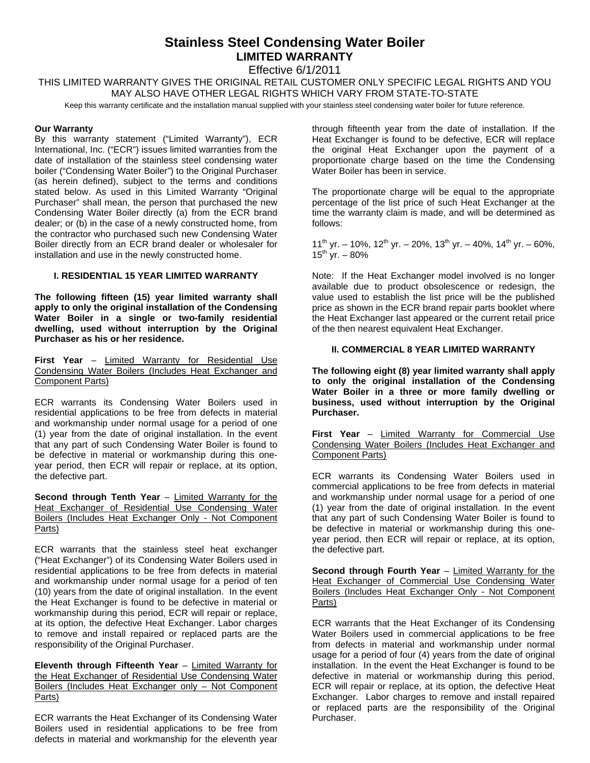# **Stainless Steel Condensing Water Boiler LIMITED WARRANTY**

Effective 6/1/2011

THIS LIMITED WARRANTY GIVES THE ORIGINAL RETAIL CUSTOMER ONLY SPECIFIC LEGAL RIGHTS AND YOU MAY ALSO HAVE OTHER LEGAL RIGHTS WHICH VARY FROM STATE-TO-STATE

Keep this warranty certificate and the installation manual supplied with your stainless steel condensing water boiler for future reference.

#### **Our Warranty**

By this warranty statement ("Limited Warranty"), ECR International, Inc. ("ECR") issues limited warranties from the date of installation of the stainless steel condensing water boiler ("Condensing Water Boiler") to the Original Purchaser (as herein defined), subject to the terms and conditions stated below. As used in this Limited Warranty "Original Purchaser" shall mean, the person that purchased the new Condensing Water Boiler directly (a) from the ECR brand dealer; or (b) in the case of a newly constructed home, from the contractor who purchased such new Condensing Water Boiler directly from an ECR brand dealer or wholesaler for installation and use in the newly constructed home.

#### **I. RESIDENTIAL 15 YEAR LIMITED WARRANTY**

**The following fifteen (15) year limited warranty shall apply to only the original installation of the Condensing Water Boiler in a single or two-family residential dwelling, used without interruption by the Original Purchaser as his or her residence.** 

First Year – Limited Warranty for Residential Use Condensing Water Boilers (Includes Heat Exchanger and Component Parts)

ECR warrants its Condensing Water Boilers used in residential applications to be free from defects in material and workmanship under normal usage for a period of one (1) year from the date of original installation. In the event that any part of such Condensing Water Boiler is found to be defective in material or workmanship during this oneyear period, then ECR will repair or replace, at its option, the defective part.

**Second through Tenth Year** – Limited Warranty for the Heat Exchanger of Residential Use Condensing Water Boilers (Includes Heat Exchanger Only - Not Component Parts)

ECR warrants that the stainless steel heat exchanger ("Heat Exchanger") of its Condensing Water Boilers used in residential applications to be free from defects in material and workmanship under normal usage for a period of ten (10) years from the date of original installation. In the event the Heat Exchanger is found to be defective in material or workmanship during this period, ECR will repair or replace, at its option, the defective Heat Exchanger. Labor charges to remove and install repaired or replaced parts are the responsibility of the Original Purchaser.

**Eleventh through Fifteenth Year** – Limited Warranty for the Heat Exchanger of Residential Use Condensing Water Boilers (Includes Heat Exchanger only – Not Component Parts)

ECR warrants the Heat Exchanger of its Condensing Water Boilers used in residential applications to be free from defects in material and workmanship for the eleventh year

through fifteenth year from the date of installation. If the Heat Exchanger is found to be defective, ECR will replace the original Heat Exchanger upon the payment of a proportionate charge based on the time the Condensing Water Boiler has been in service.

The proportionate charge will be equal to the appropriate percentage of the list price of such Heat Exchanger at the time the warranty claim is made, and will be determined as follows:

11<sup>th</sup> yr. – 10%, 12<sup>th</sup> yr. – 20%, 13<sup>th</sup> yr. – 40%, 14<sup>th</sup> yr. – 60%,  $15^{th}$  yr. – 80%

Note: If the Heat Exchanger model involved is no longer available due to product obsolescence or redesign, the value used to establish the list price will be the published price as shown in the ECR brand repair parts booklet where the Heat Exchanger last appeared or the current retail price of the then nearest equivalent Heat Exchanger.

### **II. COMMERCIAL 8 YEAR LIMITED WARRANTY**

**The following eight (8) year limited warranty shall apply to only the original installation of the Condensing Water Boiler in a three or more family dwelling or business, used without interruption by the Original Purchaser.**

**First Year** – Limited Warranty for Commercial Use Condensing Water Boilers (Includes Heat Exchanger and Component Parts)

ECR warrants its Condensing Water Boilers used in commercial applications to be free from defects in material and workmanship under normal usage for a period of one (1) year from the date of original installation. In the event that any part of such Condensing Water Boiler is found to be defective in material or workmanship during this oneyear period, then ECR will repair or replace, at its option, the defective part.

**Second through Fourth Year** – Limited Warranty for the Heat Exchanger of Commercial Use Condensing Water Boilers (Includes Heat Exchanger Only - Not Component Parts)

ECR warrants that the Heat Exchanger of its Condensing Water Boilers used in commercial applications to be free from defects in material and workmanship under normal usage for a period of four (4) years from the date of original installation. In the event the Heat Exchanger is found to be defective in material or workmanship during this period, ECR will repair or replace, at its option, the defective Heat Exchanger. Labor charges to remove and install repaired or replaced parts are the responsibility of the Original Purchaser.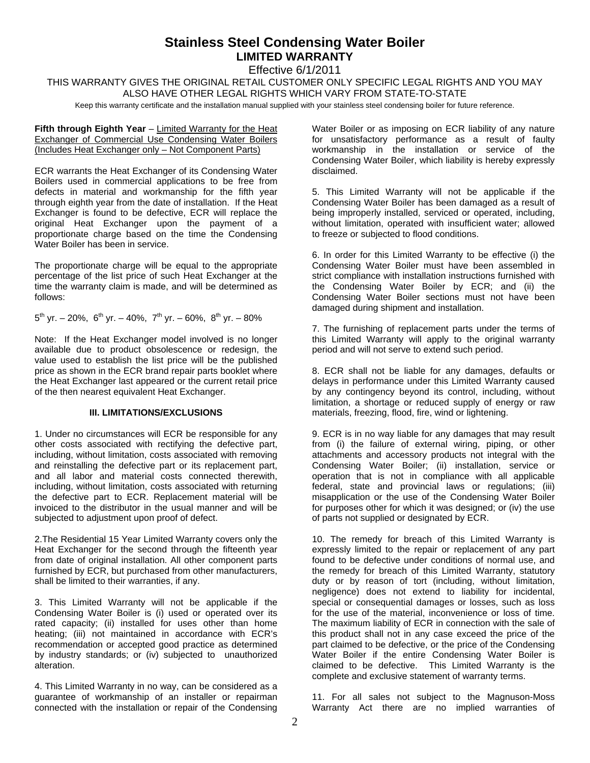# **Stainless Steel Condensing Water Boiler LIMITED WARRANTY**

Effective 6/1/2011

THIS WARRANTY GIVES THE ORIGINAL RETAIL CUSTOMER ONLY SPECIFIC LEGAL RIGHTS AND YOU MAY ALSO HAVE OTHER LEGAL RIGHTS WHICH VARY FROM STATE-TO-STATE

Keep this warranty certificate and the installation manual supplied with your stainless steel condensing boiler for future reference.

## **Fifth through Eighth Year** – Limited Warranty for the Heat Exchanger of Commercial Use Condensing Water Boilers (Includes Heat Exchanger only – Not Component Parts)

ECR warrants the Heat Exchanger of its Condensing Water Boilers used in commercial applications to be free from defects in material and workmanship for the fifth year through eighth year from the date of installation. If the Heat Exchanger is found to be defective, ECR will replace the original Heat Exchanger upon the payment of a proportionate charge based on the time the Condensing Water Boiler has been in service.

The proportionate charge will be equal to the appropriate percentage of the list price of such Heat Exchanger at the time the warranty claim is made, and will be determined as follows:

 $5^{th}$  yr. – 20%,  $6^{th}$  yr. – 40%,  $7^{th}$  yr. – 60%,  $8^{th}$  yr. – 80%

Note: If the Heat Exchanger model involved is no longer available due to product obsolescence or redesign, the value used to establish the list price will be the published price as shown in the ECR brand repair parts booklet where the Heat Exchanger last appeared or the current retail price of the then nearest equivalent Heat Exchanger.

## **III. LIMITATIONS/EXCLUSIONS**

1. Under no circumstances will ECR be responsible for any other costs associated with rectifying the defective part, including, without limitation, costs associated with removing and reinstalling the defective part or its replacement part, and all labor and material costs connected therewith, including, without limitation, costs associated with returning the defective part to ECR. Replacement material will be invoiced to the distributor in the usual manner and will be subjected to adjustment upon proof of defect.

2.The Residential 15 Year Limited Warranty covers only the Heat Exchanger for the second through the fifteenth year from date of original installation. All other component parts furnished by ECR, but purchased from other manufacturers, shall be limited to their warranties, if any.

3. This Limited Warranty will not be applicable if the Condensing Water Boiler is (i) used or operated over its rated capacity; (ii) installed for uses other than home heating; (iii) not maintained in accordance with ECR's recommendation or accepted good practice as determined by industry standards; or (iv) subjected to unauthorized alteration.

4. This Limited Warranty in no way, can be considered as a guarantee of workmanship of an installer or repairman connected with the installation or repair of the Condensing Water Boiler or as imposing on ECR liability of any nature for unsatisfactory performance as a result of faulty workmanship in the installation or service of the Condensing Water Boiler, which liability is hereby expressly disclaimed.

5. This Limited Warranty will not be applicable if the Condensing Water Boiler has been damaged as a result of being improperly installed, serviced or operated, including, without limitation, operated with insufficient water; allowed to freeze or subjected to flood conditions.

6. In order for this Limited Warranty to be effective (i) the Condensing Water Boiler must have been assembled in strict compliance with installation instructions furnished with the Condensing Water Boiler by ECR; and (ii) the Condensing Water Boiler sections must not have been damaged during shipment and installation.

7. The furnishing of replacement parts under the terms of this Limited Warranty will apply to the original warranty period and will not serve to extend such period.

8. ECR shall not be liable for any damages, defaults or delays in performance under this Limited Warranty caused by any contingency beyond its control, including, without limitation, a shortage or reduced supply of energy or raw materials, freezing, flood, fire, wind or lightening.

9. ECR is in no way liable for any damages that may result from (i) the failure of external wiring, piping, or other attachments and accessory products not integral with the Condensing Water Boiler; (ii) installation, service or operation that is not in compliance with all applicable federal, state and provincial laws or regulations; (iii) misapplication or the use of the Condensing Water Boiler for purposes other for which it was designed; or (iv) the use of parts not supplied or designated by ECR.

10. The remedy for breach of this Limited Warranty is expressly limited to the repair or replacement of any part found to be defective under conditions of normal use, and the remedy for breach of this Limited Warranty, statutory duty or by reason of tort (including, without limitation, negligence) does not extend to liability for incidental, special or consequential damages or losses, such as loss for the use of the material, inconvenience or loss of time. The maximum liability of ECR in connection with the sale of this product shall not in any case exceed the price of the part claimed to be defective, or the price of the Condensing Water Boiler if the entire Condensing Water Boiler is claimed to be defective. This Limited Warranty is the complete and exclusive statement of warranty terms.

11. For all sales not subject to the Magnuson-Moss Warranty Act there are no implied warranties of